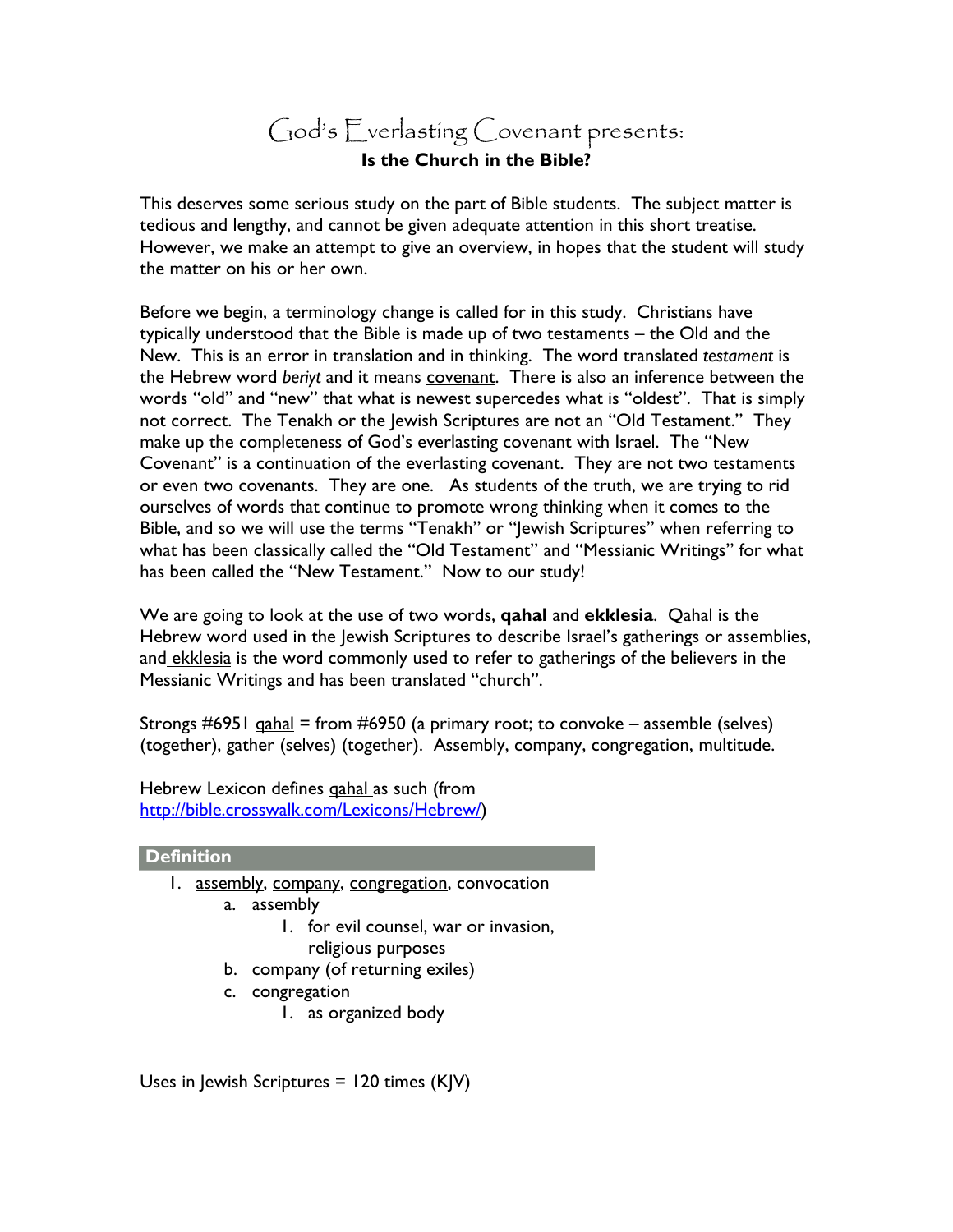## God's Everlasting Covenant presents: **Is the Church in the Bible?**

This deserves some serious study on the part of Bible students. The subject matter is tedious and lengthy, and cannot be given adequate attention in this short treatise. However, we make an attempt to give an overview, in hopes that the student will study the matter on his or her own.

Before we begin, a terminology change is called for in this study. Christians have typically understood that the Bible is made up of two testaments – the Old and the New. This is an error in translation and in thinking. The word translated *testament* is the Hebrew word *beriyt* and it means covenant. There is also an inference between the words "old" and "new" that what is newest supercedes what is "oldest". That is simply not correct. The Tenakh or the Jewish Scriptures are not an "Old Testament." They make up the completeness of God's everlasting covenant with Israel. The "New Covenant" is a continuation of the everlasting covenant. They are not two testaments or even two covenants. They are one. As students of the truth, we are trying to rid ourselves of words that continue to promote wrong thinking when it comes to the Bible, and so we will use the terms "Tenakh" or "Jewish Scriptures" when referring to what has been classically called the "Old Testament" and "Messianic Writings" for what has been called the "New Testament." Now to our study!

We are going to look at the use of two words, **qahal** and **ekklesia**. Qahal is the Hebrew word used in the Jewish Scriptures to describe Israel's gatherings or assemblies, and ekklesia is the word commonly used to refer to gatherings of the believers in the Messianic Writings and has been translated "church".

Strongs  $\#6951$  gahal = from  $\#6950$  (a primary root; to convoke – assemble (selves) (together), gather (selves) (together). Assembly, company, congregation, multitude.

Hebrew Lexicon defines qahal as such (from <http://bible.crosswalk.com/Lexicons/Hebrew/>)

## **Definition**

- 1. assembly, company, congregation, convocation
	- a. assembly
		- 1. for evil counsel, war or invasion,
			- religious purposes
	- b. company (of returning exiles)
	- c. congregation
		- 1. as organized body

Uses in Jewish Scriptures =  $120$  times (KJV)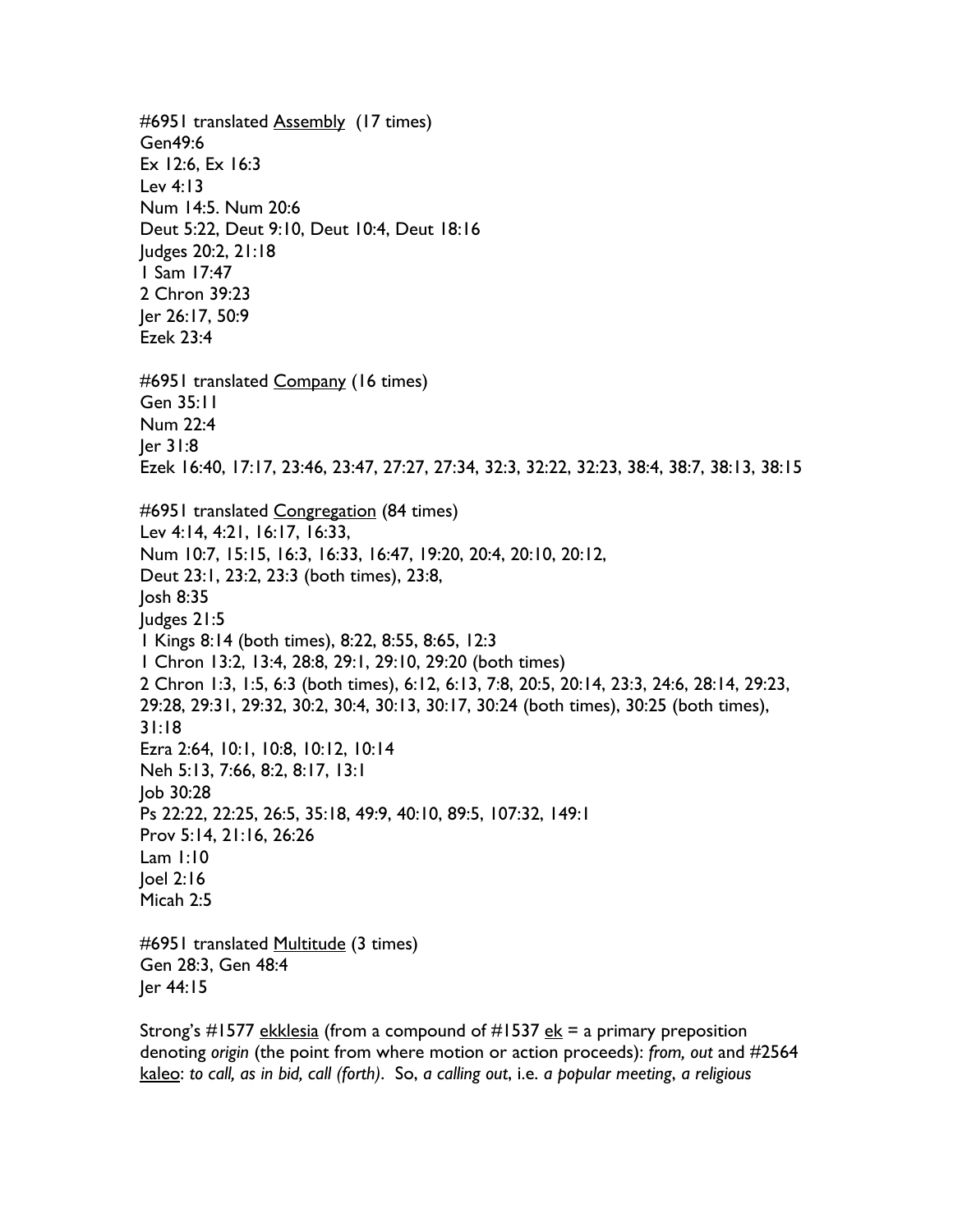#6951 translated Assembly (17 times) Gen49:6 Ex 12:6, Ex 16:3 Lev 4:13 Num 14:5. Num 20:6 Deut 5:22, Deut 9:10, Deut 10:4, Deut 18:16 Judges 20:2, 21:18 1 Sam 17:47 2 Chron 39:23 Jer 26:17, 50:9 Ezek 23:4 #6951 translated Company (16 times) Gen 35:11 Num 22:4 Jer 31:8 Ezek 16:40, 17:17, 23:46, 23:47, 27:27, 27:34, 32:3, 32:22, 32:23, 38:4, 38:7, 38:13, 38:15 #6951 translated Congregation (84 times) Lev 4:14, 4:21, 16:17, 16:33, Num 10:7, 15:15, 16:3, 16:33, 16:47, 19:20, 20:4, 20:10, 20:12, Deut 23:1, 23:2, 23:3 (both times), 23:8, Josh 8:35 Judges 21:5 1 Kings 8:14 (both times), 8:22, 8:55, 8:65, 12:3 1 Chron 13:2, 13:4, 28:8, 29:1, 29:10, 29:20 (both times) 2 Chron 1:3, 1:5, 6:3 (both times), 6:12, 6:13, 7:8, 20:5, 20:14, 23:3, 24:6, 28:14, 29:23, 29:28, 29:31, 29:32, 30:2, 30:4, 30:13, 30:17, 30:24 (both times), 30:25 (both times), 31:18 Ezra 2:64, 10:1, 10:8, 10:12, 10:14 Neh 5:13, 7:66, 8:2, 8:17, 13:1 Job 30:28 Ps 22:22, 22:25, 26:5, 35:18, 49:9, 40:10, 89:5, 107:32, 149:1 Prov 5:14, 21:16, 26:26 Lam 1:10 Joel 2:16 Micah 2:5 #6951 translated Multitude (3 times) Gen 28:3, Gen 48:4 Jer 44:15

Strong's #1577 ekklesia (from a compound of #1537  $ek = a$  primary preposition denoting *origin* (the point from where motion or action proceeds): *from, out* and #2564 kaleo: *to call, as in bid, call (forth)*. So, *a calling out*, i.e. *a popular meeting*, *a religious*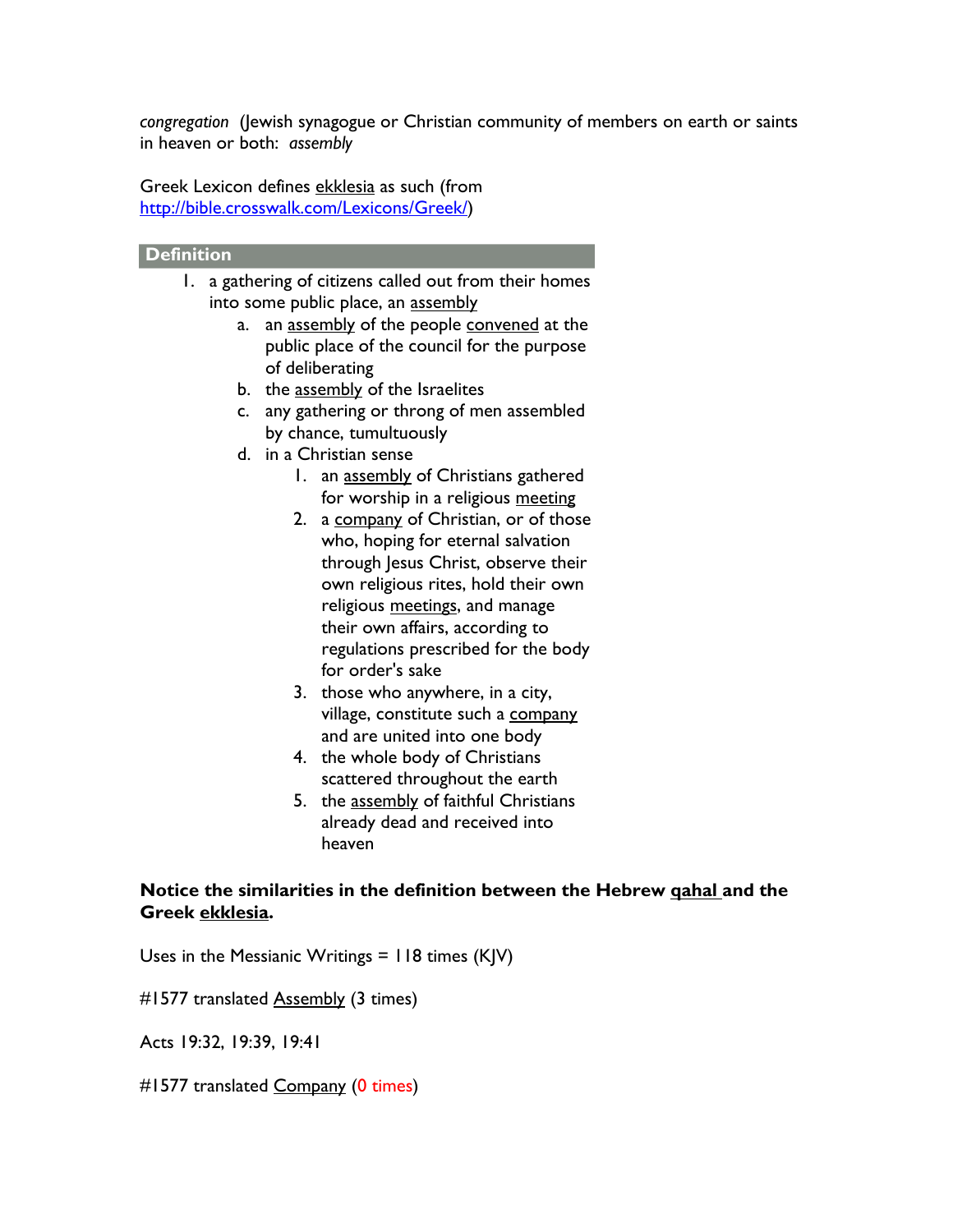*congregation* (Jewish synagogue or Christian community of members on earth or saints in heaven or both: *assembly* 

Greek Lexicon defines ekklesia as such (from [http://bible.crosswalk.com/Lexicons/Greek/\)](http://bible.crosswalk.com/Lexicons/Greek/)

## **Definition**

- 1. a gathering of citizens called out from their homes into some public place, an assembly
	- a. an assembly of the people convened at the public place of the council for the purpose of deliberating
	- b. the assembly of the Israelites
	- c. any gathering or throng of men assembled by chance, tumultuously
	- d. in a Christian sense
		- 1. an assembly of Christians gathered for worship in a religious meeting
		- 2. a company of Christian, or of those who, hoping for eternal salvation through Jesus Christ, observe their own religious rites, hold their own religious meetings, and manage their own affairs, according to regulations prescribed for the body for order's sake
		- 3. those who anywhere, in a city, village, constitute such a company and are united into one body
		- 4. the whole body of Christians scattered throughout the earth
		- 5. the assembly of faithful Christians already dead and received into heaven

## **Notice the similarities in the definition between the Hebrew qahal and the Greek ekklesia.**

Uses in the Messianic Writings = 118 times (KJV)

#1577 translated **Assembly** (3 times)

Acts 19:32, 19:39, 19:41

#1577 translated Company (0 times)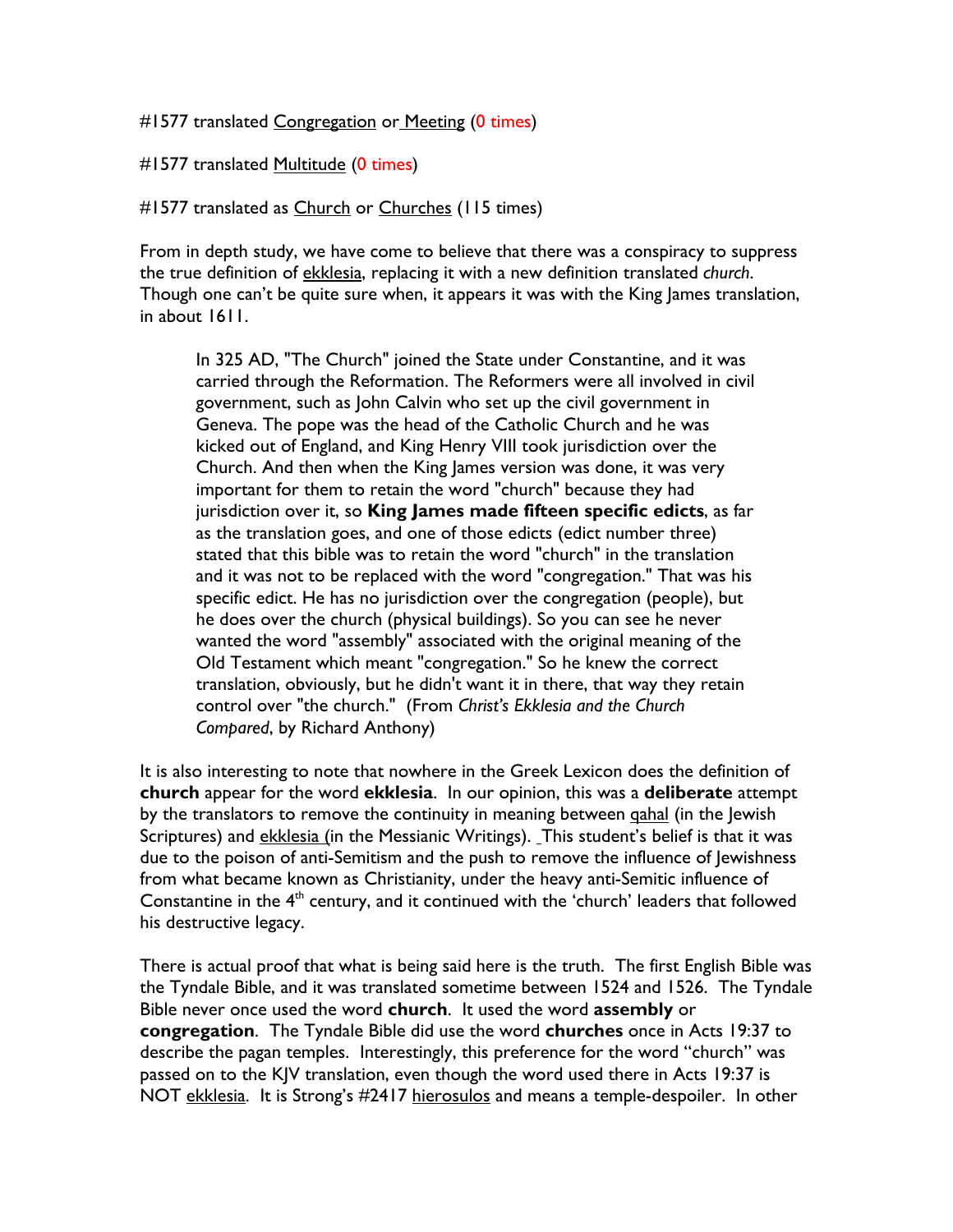#1577 translated Congregation or Meeting (0 times)

#1577 translated Multitude (0 times)

#1577 translated as Church or Churches (115 times)

From in depth study, we have come to believe that there was a conspiracy to suppress the true definition of ekklesia, replacing it with a new definition translated *church*. Though one can't be quite sure when, it appears it was with the King James translation, in about 1611.

In 325 AD, "The Church" joined the State under Constantine, and it was carried through the Reformation. The Reformers were all involved in civil government, such as John Calvin who set up the civil government in Geneva. The pope was the head of the Catholic Church and he was kicked out of England, and King Henry VIII took jurisdiction over the Church. And then when the King James version was done, it was very important for them to retain the word "church" because they had jurisdiction over it, so **King James made fifteen specific edicts**, as far as the translation goes, and one of those edicts (edict number three) stated that this bible was to retain the word "church" in the translation and it was not to be replaced with the word "congregation." That was his specific edict. He has no jurisdiction over the congregation (people), but he does over the church (physical buildings). So you can see he never wanted the word "assembly" associated with the original meaning of the Old Testament which meant "congregation." So he knew the correct translation, obviously, but he didn't want it in there, that way they retain control over "the church." (From *Christ's Ekklesia and the Church Compared*, by Richard Anthony)

It is also interesting to note that nowhere in the Greek Lexicon does the definition of **church** appear for the word **ekklesia**. In our opinion, this was a **deliberate** attempt by the translators to remove the continuity in meaning between gahal (in the Jewish Scriptures) and ekklesia (in the Messianic Writings). This student's belief is that it was due to the poison of anti-Semitism and the push to remove the influence of Jewishness from what became known as Christianity, under the heavy anti-Semitic influence of Constantine in the  $4<sup>th</sup>$  century, and it continued with the 'church' leaders that followed his destructive legacy.

There is actual proof that what is being said here is the truth. The first English Bible was the Tyndale Bible, and it was translated sometime between 1524 and 1526. The Tyndale Bible never once used the word **church**. It used the word **assembly** or **congregation**. The Tyndale Bible did use the word **churches** once in Acts 19:37 to describe the pagan temples. Interestingly, this preference for the word "church" was passed on to the KJV translation, even though the word used there in Acts 19:37 is NOT ekklesia. It is Strong's #2417 hierosulos and means a temple-despoiler. In other